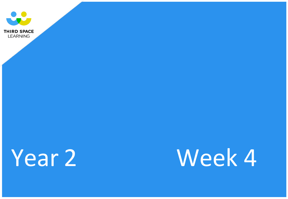

# Year 2 Week 4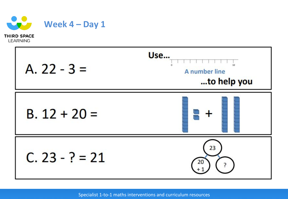

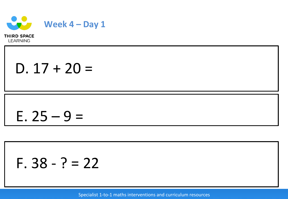

D.  $17 + 20 =$ 

## E.  $25 - 9 =$

## F.  $38 - ? = 22$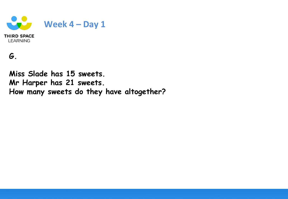

## **G.**

**Miss Slade has 15 sweets. Mr Harper has 21 sweets. How many sweets do they have altogether?**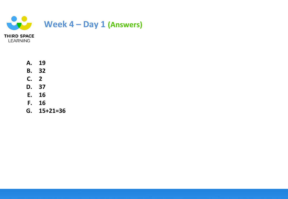

- **A. 19**
- **B. 32**
- **C. 2**
- **D. 37**
- **E. 16**
- **F. 16**
- **G. 15+21=36**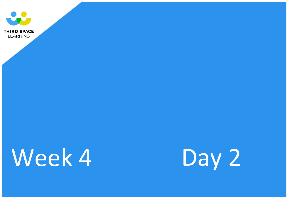

**LEARNING** 

# Week 4 Day 2

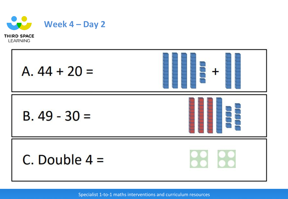

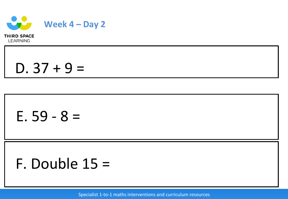

 $D. 37 + 9 =$ 

## E.  $59 - 8 =$

## F. Double  $15 =$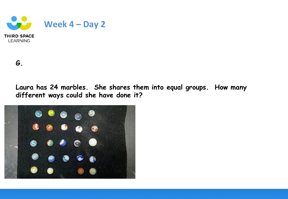

**G.**

**LEARNING** 

**Laura has 24 marbles. She shares them into equal groups. How many different ways could she have done it?**

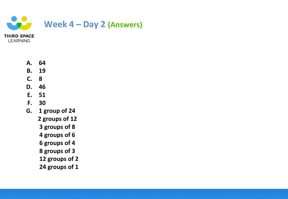

- **A. 64**
- **B. 19**
- **C. 8**
- **D. 46**
- **E. 51**
- **F. 30**
- **G. 1 group of 24**
	- **2 groups of 12**
	- **3 groups of 8**
	- **4 groups of 6**
	- **6 groups of 4**
	- **8 groups of 3**
	- **12 groups of 2**
	- **24 groups of 1**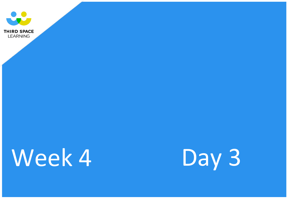

**LEARNING** 

# Week 4 Day 3

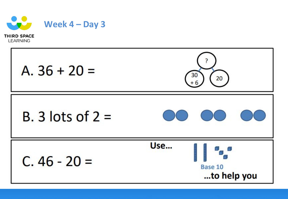

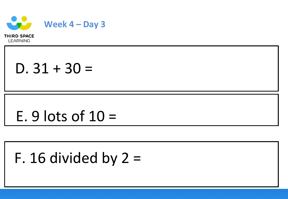

 $D. 31 + 30 =$ 

## E. 9 lots of  $10 =$

## F. 16 divided by  $2 =$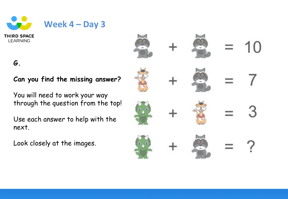

### **G.**

### **Can you find the missing answer?**

You will need to work your way through the question from the top!

Use each answer to help with the next.

Look closely at the images.

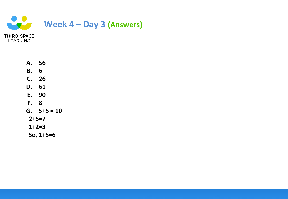

| А.        | 56          |
|-----------|-------------|
| Β.        | 6           |
| C.        | 26          |
| D.        | 61          |
| E.        | 90          |
| F.        | 8           |
|           | $G. 5+5=10$ |
| $2+5=7$   |             |
| 1+2=3     |             |
| So, 1+5=6 |             |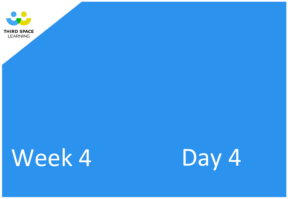

**LEARNING** 

# Week 4 Day 4

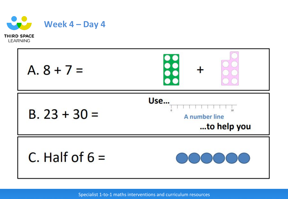

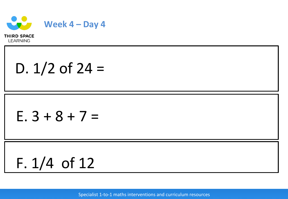

D.  $1/2$  of  $24 =$ 

## $E. 3 + 8 + 7 =$

$$
F. 1/4 of 12
$$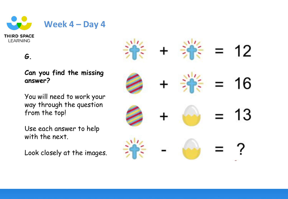

### **G.**

### **Can you find the missing answer?**

You will need to work your way through the question from the top!

Use each answer to help with the next.

Look closely at the images.

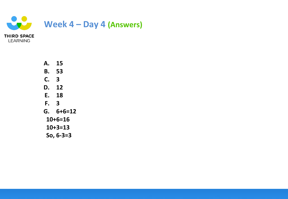

**A. 15 B. 53 C. 3 D. 12 E. 18 F. 3 G. 6+6=12 10+6=16 10+3=13 So, 6-3=3**

**LEARNING**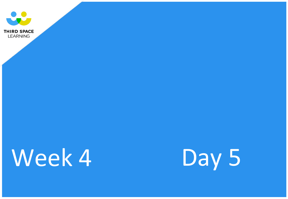

**LEARNING** 

# Week 4 Day 5

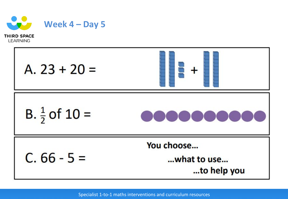

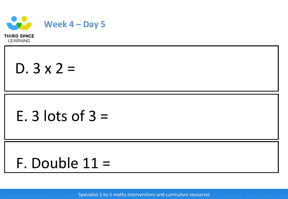

 $D. 3 x 2 =$ 

# E. 3 lots of  $3 =$

# F. Double 11 =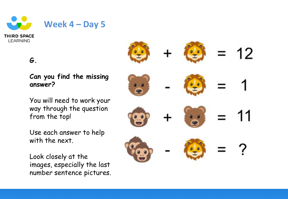

### **G.**

### **Can you find the missing answer?**

You will need to work your way through the question from the top!

Use each answer to help with the next.

Look closely at the images, especially the last number sentence pictures.